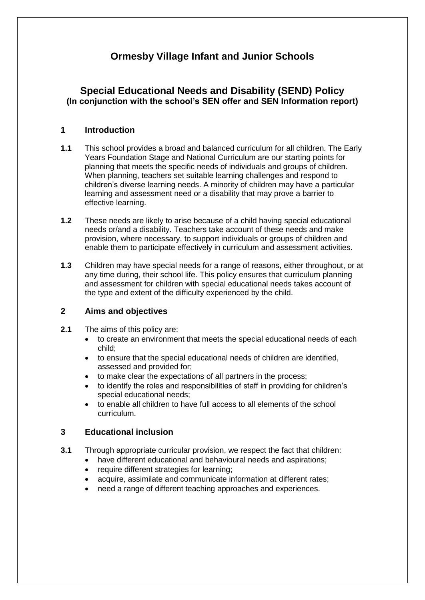# **Ormesby Village Infant and Junior Schools**

# **Special Educational Needs and Disability (SEND) Policy (In conjunction with the school's SEN offer and SEN Information report)**

# **1 Introduction**

- **1.1** This school provides a broad and balanced curriculum for all children. The Early Years Foundation Stage and National Curriculum are our starting points for planning that meets the specific needs of individuals and groups of children. When planning, teachers set suitable learning challenges and respond to children's diverse learning needs. A minority of children may have a particular learning and assessment need or a disability that may prove a barrier to effective learning.
- **1.2** These needs are likely to arise because of a child having special educational needs or/and a disability. Teachers take account of these needs and make provision, where necessary, to support individuals or groups of children and enable them to participate effectively in curriculum and assessment activities.
- **1.3** Children may have special needs for a range of reasons, either throughout, or at any time during, their school life. This policy ensures that curriculum planning and assessment for children with special educational needs takes account of the type and extent of the difficulty experienced by the child.

#### **2 Aims and objectives**

- **2.1** The aims of this policy are:
	- to create an environment that meets the special educational needs of each child;
	- to ensure that the special educational needs of children are identified, assessed and provided for;
	- to make clear the expectations of all partners in the process;
	- to identify the roles and responsibilities of staff in providing for children's special educational needs;
	- to enable all children to have full access to all elements of the school curriculum.

# **3 Educational inclusion**

- **3.1** Through appropriate curricular provision, we respect the fact that children:
	- have different educational and behavioural needs and aspirations;
		- require different strategies for learning;
		- acquire, assimilate and communicate information at different rates;
		- need a range of different teaching approaches and experiences.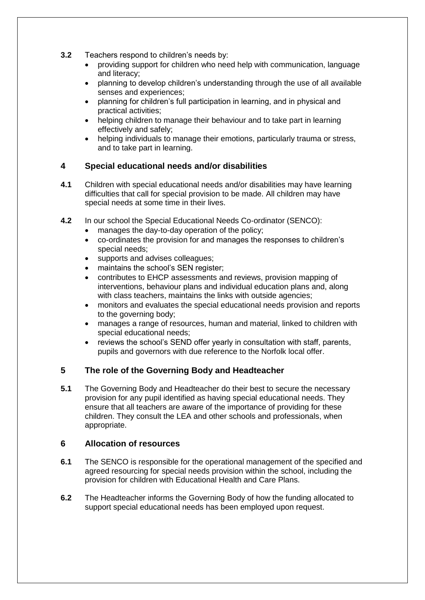- **3.2** Teachers respond to children's needs by:
	- providing support for children who need help with communication, language and literacy;
	- planning to develop children's understanding through the use of all available senses and experiences;
	- planning for children's full participation in learning, and in physical and practical activities;
	- helping children to manage their behaviour and to take part in learning effectively and safely;
	- helping individuals to manage their emotions, particularly trauma or stress, and to take part in learning.

## **4 Special educational needs and/or disabilities**

- **4.1** Children with special educational needs and/or disabilities may have learning difficulties that call for special provision to be made. All children may have special needs at some time in their lives.
- **4.2** In our school the Special Educational Needs Co-ordinator (SENCO):
	- manages the day-to-day operation of the policy;
	- co-ordinates the provision for and manages the responses to children's special needs;
	- supports and advises colleagues;
	- maintains the school's SEN register;
	- contributes to EHCP assessments and reviews, provision mapping of interventions, behaviour plans and individual education plans and, along with class teachers, maintains the links with outside agencies;
	- monitors and evaluates the special educational needs provision and reports to the governing body;
	- manages a range of resources, human and material, linked to children with special educational needs;
	- reviews the school's SEND offer yearly in consultation with staff, parents, pupils and governors with due reference to the Norfolk local offer.

#### **5 The role of the Governing Body and Headteacher**

**5.1** The Governing Body and Headteacher do their best to secure the necessary provision for any pupil identified as having special educational needs. They ensure that all teachers are aware of the importance of providing for these children. They consult the LEA and other schools and professionals, when appropriate.

#### **6 Allocation of resources**

- **6.1** The SENCO is responsible for the operational management of the specified and agreed resourcing for special needs provision within the school, including the provision for children with Educational Health and Care Plans.
- **6.2** The Headteacher informs the Governing Body of how the funding allocated to support special educational needs has been employed upon request.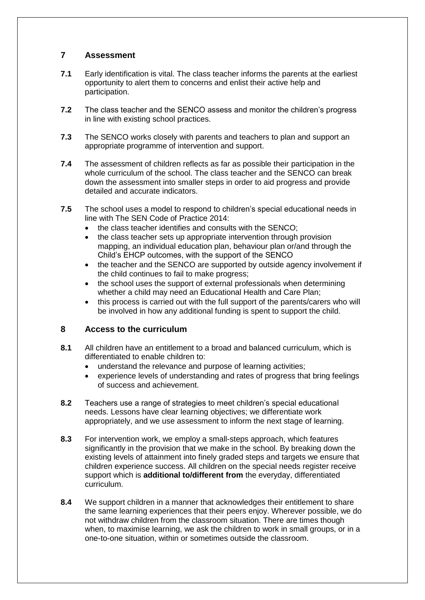## **7 Assessment**

- **7.1** Early identification is vital. The class teacher informs the parents at the earliest opportunity to alert them to concerns and enlist their active help and participation.
- **7.2** The class teacher and the SENCO assess and monitor the children's progress in line with existing school practices.
- **7.3** The SENCO works closely with parents and teachers to plan and support an appropriate programme of intervention and support.
- **7.4** The assessment of children reflects as far as possible their participation in the whole curriculum of the school. The class teacher and the SENCO can break down the assessment into smaller steps in order to aid progress and provide detailed and accurate indicators.
- **7.5** The school uses a model to respond to children's special educational needs in line with The SEN Code of Practice 2014:
	- the class teacher identifies and consults with the SENCO;
	- the class teacher sets up appropriate intervention through provision mapping, an individual education plan, behaviour plan or/and through the Child's EHCP outcomes, with the support of the SENCO
	- the teacher and the SENCO are supported by outside agency involvement if the child continues to fail to make progress;
	- the school uses the support of external professionals when determining whether a child may need an Educational Health and Care Plan;
	- this process is carried out with the full support of the parents/carers who will be involved in how any additional funding is spent to support the child.

#### **8 Access to the curriculum**

- **8.1** All children have an entitlement to a broad and balanced curriculum, which is differentiated to enable children to:
	- understand the relevance and purpose of learning activities;
	- experience levels of understanding and rates of progress that bring feelings of success and achievement.
- **8.2** Teachers use a range of strategies to meet children's special educational needs. Lessons have clear learning objectives; we differentiate work appropriately, and we use assessment to inform the next stage of learning.
- **8.3** For intervention work, we employ a small-steps approach, which features significantly in the provision that we make in the school. By breaking down the existing levels of attainment into finely graded steps and targets we ensure that children experience success. All children on the special needs register receive support which is **additional to/different from** the everyday, differentiated curriculum.
- **8.4** We support children in a manner that acknowledges their entitlement to share the same learning experiences that their peers enjoy. Wherever possible, we do not withdraw children from the classroom situation. There are times though when, to maximise learning, we ask the children to work in small groups, or in a one-to-one situation, within or sometimes outside the classroom.